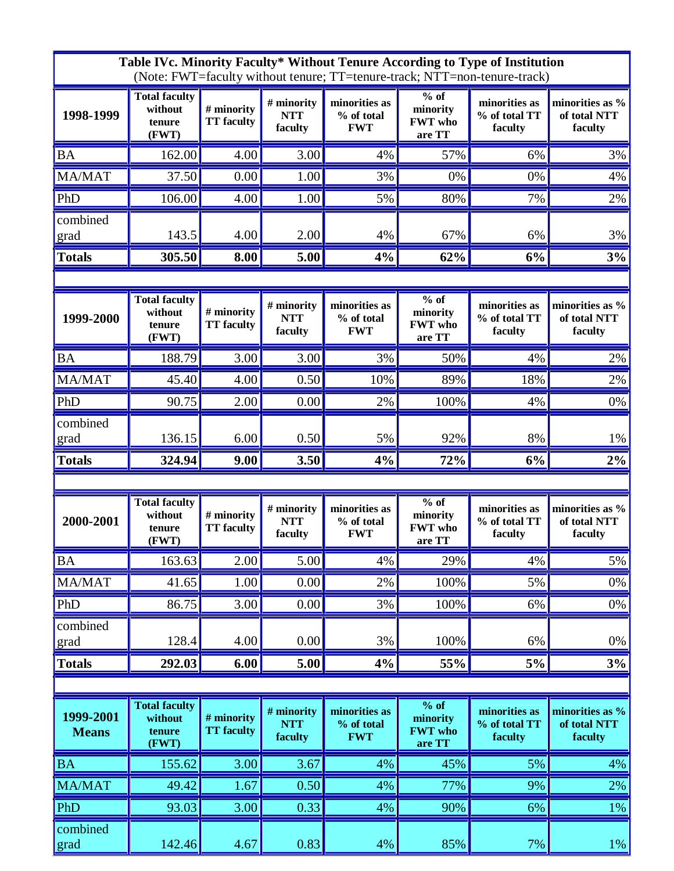|                           |                                                    |                                 |                                     |                                           |                                                | Table IVc. Minority Faculty* Without Tenure According to Type of Institution<br>(Note: FWT=faculty without tenure; TT=tenure-track; NTT=non-tenure-track) |                                            |
|---------------------------|----------------------------------------------------|---------------------------------|-------------------------------------|-------------------------------------------|------------------------------------------------|-----------------------------------------------------------------------------------------------------------------------------------------------------------|--------------------------------------------|
| 1998-1999                 | <b>Total faculty</b><br>without<br>tenure<br>(FWT) | # minority<br><b>TT</b> faculty | # minority<br><b>NTT</b><br>faculty | minorities as<br>% of total<br><b>FWT</b> | $%$ of<br>minority<br><b>FWT</b> who<br>are TT | minorities as<br>% of total TT<br>faculty                                                                                                                 | minorities as %<br>of total NTT<br>faculty |
| <b>BA</b>                 | 162.00                                             | 4.00                            | 3.00                                | 4%                                        | 57%                                            | 6%                                                                                                                                                        | 3%                                         |
| <b>MA/MAT</b>             | 37.50                                              | 0.00                            | 1.00                                | 3%                                        | 0%                                             | 0%                                                                                                                                                        | 4%                                         |
| PhD                       | 106.00                                             | 4.00                            | 1.00                                | 5%                                        | 80%                                            | 7%                                                                                                                                                        | 2%                                         |
| combined<br>grad          | 143.5                                              | 4.00                            | 2.00                                | 4%                                        | 67%                                            | 6%                                                                                                                                                        | 3%                                         |
| <b>Totals</b>             | 305.50                                             | 8.00                            | 5.00                                | 4%                                        | 62%                                            | 6%                                                                                                                                                        | 3%                                         |
|                           |                                                    |                                 |                                     |                                           |                                                |                                                                                                                                                           |                                            |
| 1999-2000                 | <b>Total faculty</b><br>without<br>tenure<br>(FWT) | # minority<br><b>TT</b> faculty | # minority<br><b>NTT</b><br>faculty | minorities as<br>% of total<br><b>FWT</b> | $%$ of<br>minority<br><b>FWT</b> who<br>are TT | minorities as<br>% of total TT<br>faculty                                                                                                                 | minorities as %<br>of total NTT<br>faculty |
| <b>BA</b>                 | 188.79                                             | 3.00                            | 3.00                                | 3%                                        | 50%                                            | 4%                                                                                                                                                        | 2%                                         |
| MA/MAT                    | 45.40                                              | 4.00                            | 0.50                                | 10%                                       | 89%                                            | 18%                                                                                                                                                       | 2%                                         |
| PhD                       | 90.75                                              | 2.00                            | 0.00                                | 2%                                        | 100%                                           | 4%                                                                                                                                                        | 0%                                         |
| combined<br>grad          | 136.15                                             | 6.00                            | 0.50                                | 5%                                        | 92%                                            | 8%                                                                                                                                                        | 1%                                         |
| <b>Totals</b>             | 324.94                                             | 9.00                            | 3.50                                | 4%                                        | 72%                                            | 6%                                                                                                                                                        | 2%                                         |
|                           |                                                    |                                 |                                     |                                           |                                                |                                                                                                                                                           |                                            |
| 2000-2001                 | <b>Total faculty</b><br>without<br>tenure<br>(FWT) | # minority<br><b>TT</b> faculty | # minority<br><b>NTT</b><br>faculty | minorities as<br>% of total<br><b>FWT</b> | $%$ of<br>minority<br><b>FWT</b> who<br>are TT | minorities as<br>% of total TT<br>faculty                                                                                                                 | minorities as %<br>of total NTT<br>faculty |
| <b>BA</b>                 | 163.63                                             | 2.00                            | 5.00                                | 4%                                        | 29%                                            | 4%                                                                                                                                                        | 5%                                         |
| MA/MAT                    | 41.65                                              | 1.00                            | 0.00                                | 2%                                        | 100%                                           | 5%                                                                                                                                                        | 0%                                         |
| PhD                       | 86.75                                              | 3.00                            | 0.00                                | 3%                                        | 100%                                           | 6%                                                                                                                                                        | 0%                                         |
| combined<br>grad          | 128.4                                              | 4.00                            | 0.00                                | 3%                                        | 100%                                           | 6%                                                                                                                                                        | 0%                                         |
| <b>Totals</b>             | 292.03                                             | 6.00                            | 5.00                                | 4%                                        | 55%                                            | 5%                                                                                                                                                        | 3%                                         |
|                           |                                                    |                                 |                                     |                                           |                                                |                                                                                                                                                           |                                            |
| 1999-2001<br><b>Means</b> | <b>Total faculty</b><br>without<br>tenure<br>(FWT) | # minority<br><b>TT</b> faculty | # minority<br><b>NTT</b><br>faculty | minorities as<br>% of total<br><b>FWT</b> | $%$ of<br>minority<br><b>FWT</b> who<br>are TT | minorities as<br>% of total TT<br>faculty                                                                                                                 | minorities as %<br>of total NTT<br>faculty |
| <b>BA</b>                 | 155.62                                             | $\overline{3.00}$               | 3.67                                | 4%                                        | 45%                                            | 5%                                                                                                                                                        | 4%                                         |
| MA/MAT                    | 49.42                                              | 1.67                            | 0.50                                | 4%                                        | 77%                                            | 9%                                                                                                                                                        | 2%                                         |
| PhD                       | 93.03                                              | 3.00                            | 0.33                                | 4%                                        | 90%                                            | 6%                                                                                                                                                        | $1\%$                                      |
| combined                  |                                                    |                                 |                                     |                                           |                                                |                                                                                                                                                           |                                            |